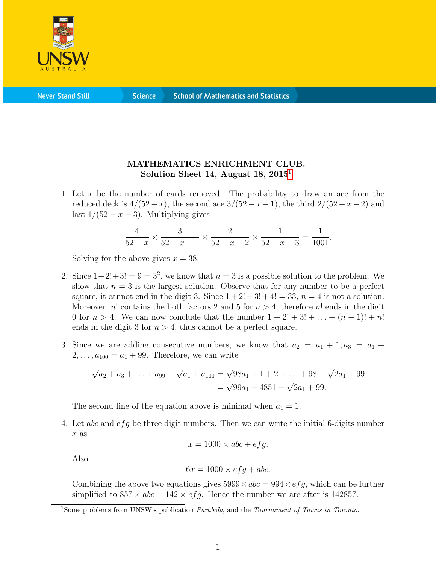

**Science** 

## MATHEMATICS ENRICHMENT CLUB. Solution Sheet [1](#page-0-0)4, August 18,  $2015<sup>1</sup>$

1. Let x be the number of cards removed. The probability to draw an ace from the reduced deck is  $4/(52-x)$ , the second ace  $3/(52-x-1)$ , the third  $2/(52-x-2)$  and last  $1/(52 - x - 3)$ . Multiplying gives

$$
\frac{4}{52-x} \times \frac{3}{52-x-1} \times \frac{2}{52-x-2} \times \frac{1}{52-x-3} = \frac{1}{1001}.
$$

Solving for the above gives  $x = 38$ .

- 2. Since  $1+2!+3! = 9 = 3^2$ , we know that  $n = 3$  is a possible solution to the problem. We show that  $n = 3$  is the largest solution. Observe that for any number to be a perfect square, it cannot end in the digit 3. Since  $1+2!+3!+4! = 33$ ,  $n = 4$  is not a solution. Moreover, n! contains the both factors 2 and 5 for  $n > 4$ , therefore n! ends in the digit 0 for  $n > 4$ . We can now conclude that the number  $1 + 2! + 3! + ... + (n - 1)! + n!$ ends in the digit 3 for  $n > 4$ , thus cannot be a perfect square.
- 3. Since we are adding consecutive numbers, we know that  $a_2 = a_1 + 1, a_3 = a_1 +$  $2, ..., a_{100} = a_1 + 99$ . Therefore, we can write

$$
\sqrt{a_2 + a_3 + \ldots + a_{99}} - \sqrt{a_1 + a_{100}} = \sqrt{98a_1 + 1 + 2 + \ldots + 98} - \sqrt{2a_1 + 99}
$$
  
=  $\sqrt{99a_1 + 4851} - \sqrt{2a_1 + 99}$ .

The second line of the equation above is minimal when  $a_1 = 1$ .

4. Let  $abc$  and  $efg$  be three digit numbers. Then we can write the initial 6-digits number x as

$$
x = 1000 \times abc + efg.
$$

Also

$$
6x = 1000 \times efg + abc.
$$

Combining the above two equations gives  $5999 \times abc = 994 \times efg$ , which can be further simplified to  $857 \times abc = 142 \times efg$ . Hence the number we are after is 142857.

<span id="page-0-0"></span><sup>&</sup>lt;sup>1</sup>Some problems from UNSW's publication *Parabola*, and the *Tournament of Towns in Toronto*.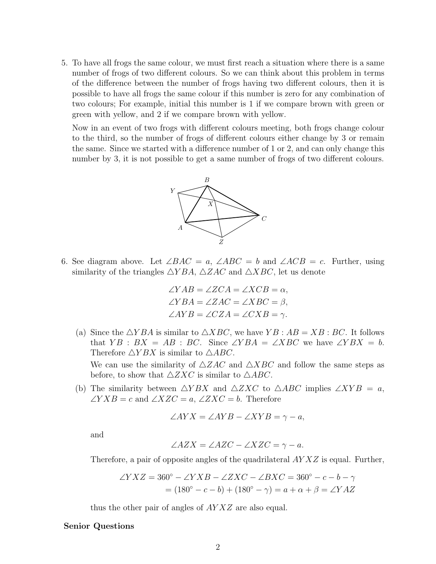5. To have all frogs the same colour, we must first reach a situation where there is a same number of frogs of two different colours. So we can think about this problem in terms of the difference between the number of frogs having two different colours, then it is possible to have all frogs the same colour if this number is zero for any combination of two colours; For example, initial this number is 1 if we compare brown with green or green with yellow, and 2 if we compare brown with yellow.

Now in an event of two frogs with different colours meeting, both frogs change colour to the third, so the number of frogs of different colours either change by 3 or remain the same. Since we started with a difference number of 1 or 2, and can only change this number by 3, it is not possible to get a same number of frogs of two different colours.



6. See diagram above. Let  $\angle BAC = a$ ,  $\angle ABC = b$  and  $\angle ACB = c$ . Further, using similarity of the triangles  $\triangle YBA$ ,  $\triangle ZAC$  and  $\triangle XBC$ , let us denote

$$
\angle YAB = \angle ZCA = \angle XCB = \alpha,
$$
  
\n
$$
\angle YBA = \angle ZAC = \angle XBC = \beta,
$$
  
\n
$$
\angle AYB = \angle CZA = \angle CXB = \gamma.
$$

- (a) Since the  $\triangle YBA$  is similar to  $\triangle XBC$ , we have  $YB : AB = XB : BC$ . It follows that  $YB : BX = AB : BC$ . Since  $\angle YBA = \angle XBC$  we have  $\angle YBX = b$ . Therefore  $\triangle YBX$  is similar to  $\triangle ABC$ . We can use the similarity of  $\triangle ZAC$  and  $\triangle XBC$  and follow the same steps as before, to show that  $\triangle ZXC$  is similar to  $\triangle ABC$ .
- (b) The similarity between  $\triangle YBX$  and  $\triangle ZXC$  to  $\triangle ABC$  implies  $\angle XYB = a$ ,  $\angle YXB = c$  and  $\angle XZC = a, \angle ZXC = b$ . Therefore

$$
\angle AYX = \angle AYB - \angle XYB = \gamma - a,
$$

and

$$
\angle AZX = \angle AZC - \angle XZC = \gamma - a.
$$

Therefore, a pair of opposite angles of the quadrilateral  $AYXZ$  is equal. Further,

$$
\angle YXZ = 360^{\circ} - \angle YXB - \angle ZXC - \angle BXC = 360^{\circ} - c - b - \gamma
$$

$$
= (180^{\circ} - c - b) + (180^{\circ} - \gamma) = a + \alpha + \beta = \angle YAZ
$$

thus the other pair of angles of  $AYXZ$  are also equal.

## Senior Questions